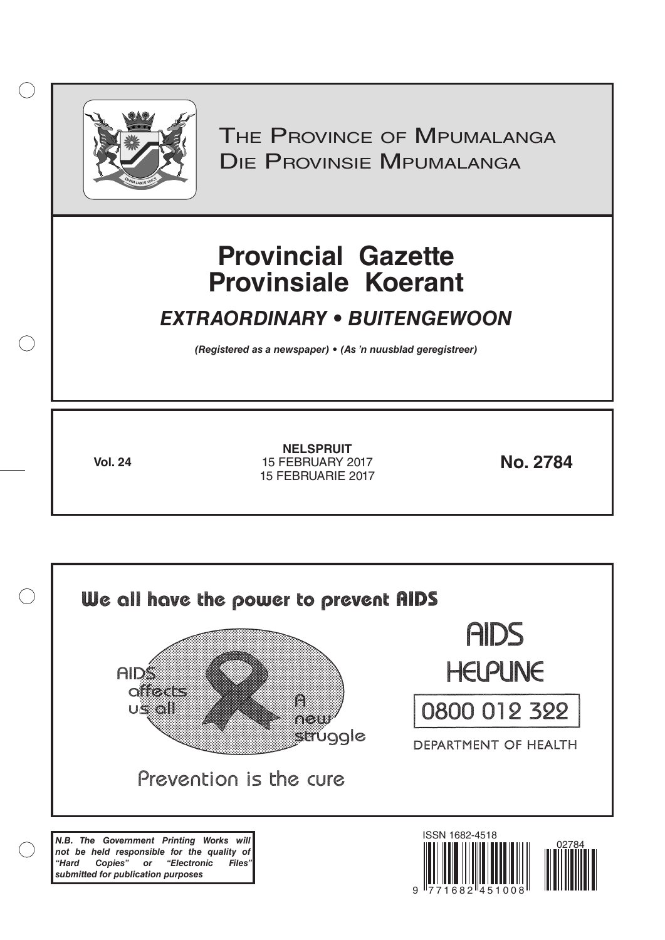

 $( )$ 

THE PROVINCE OF MPUMALANGA Die Provinsie Mpumalanga

# **Provincial Gazette Provinsiale Koerant**

## *EXTRAORDINARY • BUITENGEWOON*

*(Registered as a newspaper) • (As 'n nuusblad geregistreer)*

**Vol. 24 No. 2784** 15 FEBRUARY 2017 **NELSPRUIT** 15 FEBRUARIE 2017

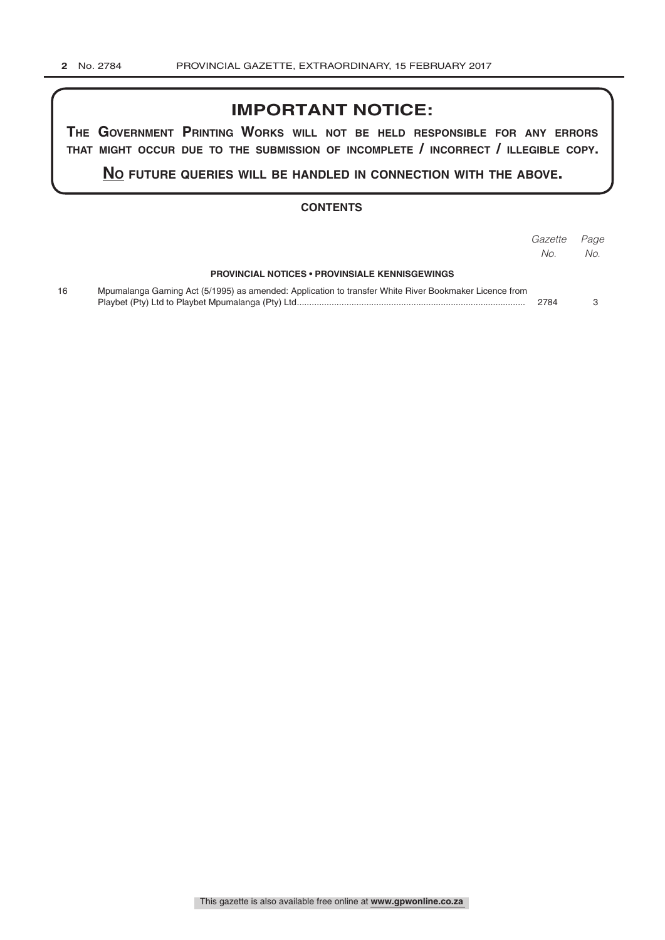## **IMPORTANT NOTICE:**

**The GovernmenT PrinTinG Works Will noT be held resPonsible for any errors ThaT miGhT occur due To The submission of incomPleTe / incorrecT / illeGible coPy.**

**no fuTure queries Will be handled in connecTion WiTh The above.**

#### **CONTENTS**

|    |                                                                                                       | Gazette<br>No. | Page<br>No. |
|----|-------------------------------------------------------------------------------------------------------|----------------|-------------|
|    | <b>PROVINCIAL NOTICES • PROVINSIALE KENNISGEWINGS</b>                                                 |                |             |
| 16 | Mpumalanga Gaming Act (5/1995) as amended: Application to transfer White River Bookmaker Licence from | 2784           |             |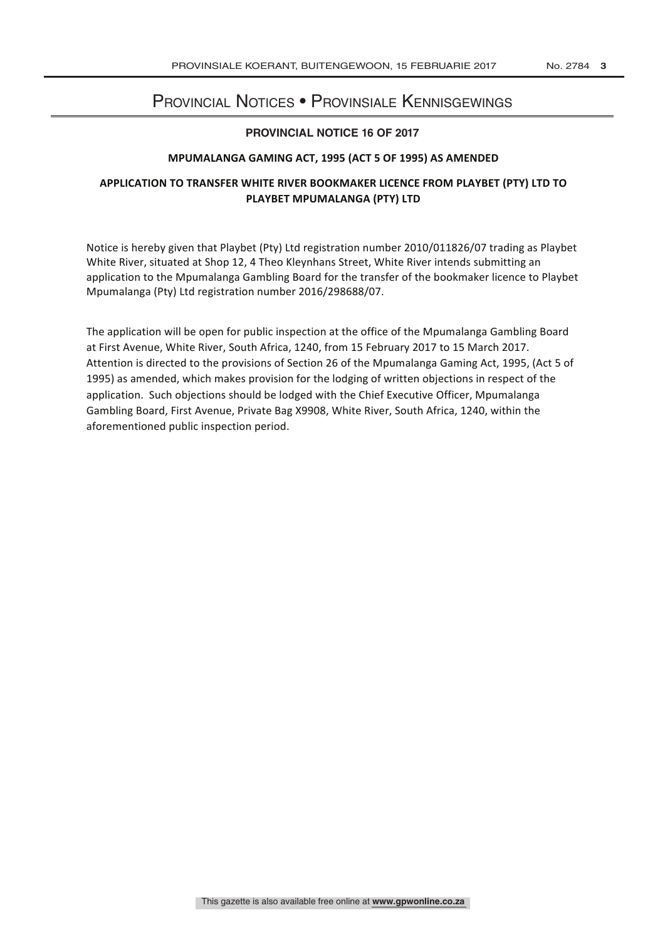## Provincial Notices • Provinsiale Kennisgewings

### **PROVINCIAL NOTICE 16 OF 2017**

#### **MPUMALANGA GAMING ACT, 1995 (ACT 5 OF 1995) AS AMENDED**

## APPLICATION TO TRANSFER WHITE RIVER BOOKMAKER LICENCE FROM PLAYBET (PTY) LTD TO **PLAYBET MPUMALANGA (PTY) LTD**

Notice is hereby given that Playbet (Pty) Ltd registration number 2010/011826/07 trading as Playbet White River, situated at Shop 12, 4 Theo Kleynhans Street, White River intends submitting an application to the Mpumalanga Gambling Board for the transfer of the bookmaker licence to Playbet Mpumalanga (Pty) Ltd registration number 2016/298688/07.

The application will be open for public inspection at the office of the Mpumalanga Gambling Board at First Avenue, White River, South Africa, 1240, from 15 February 2017 to 15 March 2017. Attention is directed to the provisions of Section 26 of the Mpumalanga Gaming Act, 1995, (Act 5 of 1995) as amended, which makes provision for the lodging of written objections in respect of the application. Such objections should be lodged with the Chief Executive Officer, Mpumalanga Gambling Board, First Avenue, Private Bag X9908, White River, South Africa, 1240, within the aforementioned public inspection period.